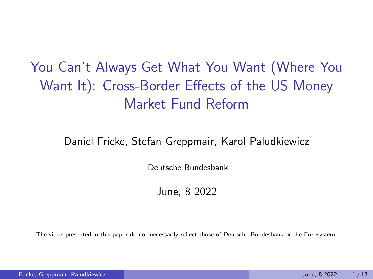You Can't Always Get What You Want (Where You Want It): Cross-Border Effects of the US Money Market Fund Reform

#### Daniel Fricke, Stefan Greppmair, Karol Paludkiewicz

Deutsche Bundesbank

June, 8 2022

The views presented in this paper do not necessarily reflect those of Deutsche Bundesbank or the Eurosystem.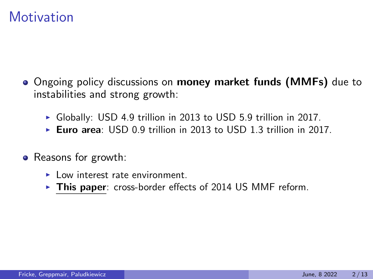#### **Motivation**

- Ongoing policy discussions on **money market funds (MMFs)** due to instabilities and strong growth:
	- $\triangleright$  Globally: USD 4.9 trillion in 2013 to USD 5.9 trillion in 2017.
	- Euro area: USD 0.9 trillion in 2013 to USD 1.3 trillion in 2017.
- Reasons for growth:
	- $\blacktriangleright$  Low interest rate environment.
	- $\triangleright$  This paper: cross-border effects of 2014 US MMF reform.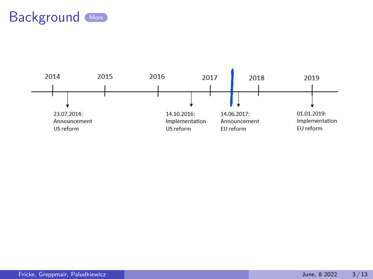<span id="page-2-0"></span>

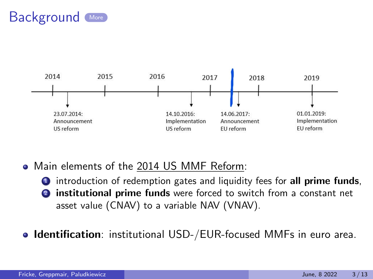



Main elements of the 2014 US MMF Reform:

**1** introduction of redemption gates and liquidity fees for all prime funds, institutional prime funds were forced to switch from a constant net asset value (CNAV) to a variable NAV (VNAV).

**Identification**: institutional USD-/EUR-focused MMFs in euro area.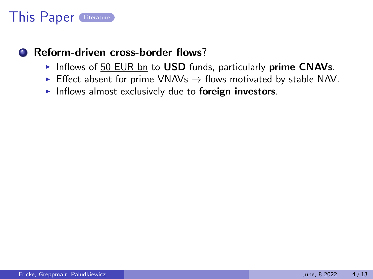#### This Paper [Literature](#page-21-0)

#### <span id="page-4-0"></span>**1** Reform-driven cross-border flows?

- Inflows of 50 EUR bn to USD funds, particularly prime CNAVs.
- Effect absent for prime VNAVs  $\rightarrow$  flows motivated by stable NAV.
- Inflows almost exclusively due to foreign investors.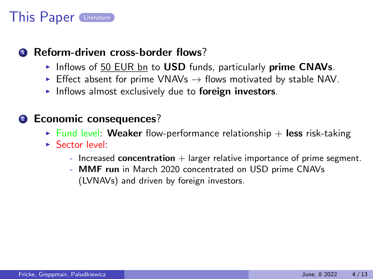# This Paper [Literature](#page-21-0)

#### **1** Reform-driven cross-border flows?

- Inflows of 50 EUR bn to USD funds, particularly prime CNAVs.
- Effect absent for prime VNAVs  $\rightarrow$  flows motivated by stable NAV.
- Inflows almost exclusively due to **foreign investors**.

#### <sup>2</sup> Economic consequences?

- In Fund level: Weaker flow-performance relationship  $+$  less risk-taking
- $S_{\text{actor}}$  level:
	- Increased concentration  $+$  larger relative importance of prime segment.
	- MMF run in March 2020 concentrated on USD prime CNAVs (LVNAVs) and driven by foreign investors.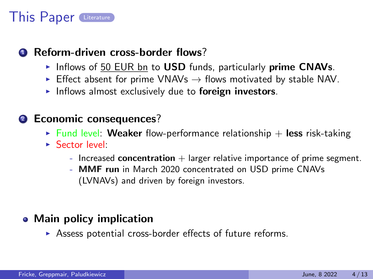# This Paper [Literature](#page-21-0)

#### **1** Reform-driven cross-border flows?

- Inflows of 50 EUR bn to USD funds, particularly prime CNAVs.
- Effect absent for prime VNAVs  $\rightarrow$  flows motivated by stable NAV.
- Inflows almost exclusively due to **foreign investors**.

#### <sup>2</sup> Economic consequences?

- In Fund level: Weaker flow-performance relationship  $+$  less risk-taking
- $S_{\text{actor}}$  level:
	- Increased concentration  $+$  larger relative importance of prime segment.
	- MMF run in March 2020 concentrated on USD prime CNAVs (LVNAVs) and driven by foreign investors.

#### • Main policy implication

 $\triangleright$  Assess potential cross-border effects of future reforms.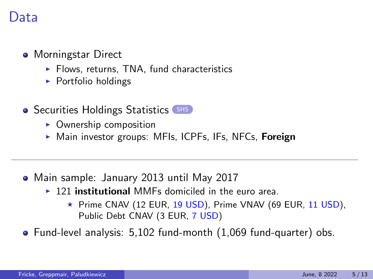#### )ata

- <span id="page-7-0"></span>• Morningstar Direct
	- $\blacktriangleright$  Flows, returns, TNA, fund characteristics
	- $\triangleright$  Portfolio holdings
- Securities Holdings Statistics [SHS](#page-22-0)
	- $\triangleright$  Ownership composition
	- $\triangleright$  Main investor groups: MFIs, ICPFs, IFs, NFCs, Foreign

- Main sample: January 2013 until May 2017
	- $\rightarrow$  121 institutional MMFs domiciled in the euro area.
		- $\star$  Prime CNAV (12 EUR, 19 USD), Prime VNAV (69 EUR, 11 USD), Public Debt CNAV (3 EUR, 7 USD)

Fund-level analysis: 5,102 fund-month (1,069 fund-quarter) obs.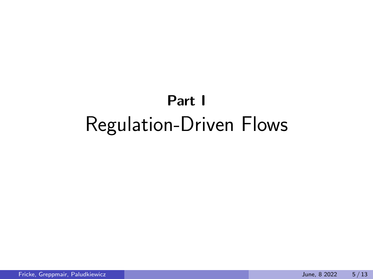# Part I Regulation-Driven Flows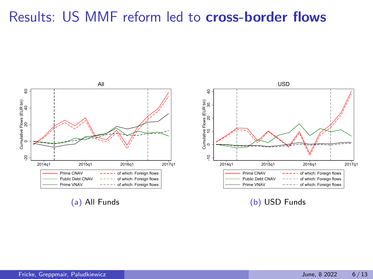#### Results: US MMF reform led to cross-border flows



(b) USD Funds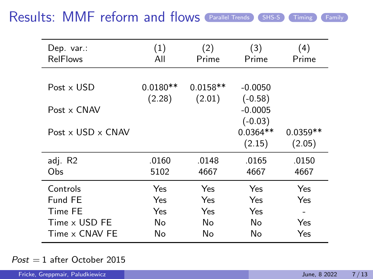#### <span id="page-10-0"></span>Results: MMF reform and flows ([Parallel Trends](#page-24-0)) ([SHS-S](#page-25-0)) [Timing](#page-23-0)) ([Family](#page-26-0)

| Dep. var.:<br><b>RelFlows</b>   | (1)<br>All           | (2)<br>Prime         | (3)<br>Prime                      | (4)<br>Prime         |
|---------------------------------|----------------------|----------------------|-----------------------------------|----------------------|
|                                 |                      |                      |                                   |                      |
| Post x USD                      | $0.0180**$<br>(2.28) | $0.0158**$<br>(2.01) | $-0.0050$<br>$(-0.58)$            |                      |
| $Post \times C$ NAV             |                      |                      | $-0.0005$                         |                      |
| Post $\times$ USD $\times$ CNAV |                      |                      | $(-0.03)$<br>$0.0364**$<br>(2.15) | $0.0359**$<br>(2.05) |
| adj. R2                         | .0160                | .0148                | .0165                             | .0150                |
| Obs.                            | 5102                 | 4667                 | 4667                              | 4667                 |
| Controls                        | Yes                  | Yes                  | Yes                               | Yes                  |
| Fund FE                         | Yes                  | Yes                  | Yes                               | Yes                  |
| Time FE                         | Yes                  | Yes                  | Yes                               |                      |
| Time x USD FE                   | No                   | No                   | No                                | Yes                  |
| Time x CNAV FF                  | No                   | No                   | No                                | Yes                  |

 $Post = 1$  after October 2015

| Fricke, Greppmair, Paludkiewicz |  | June. 8 2022 | 7/13 |
|---------------------------------|--|--------------|------|
|---------------------------------|--|--------------|------|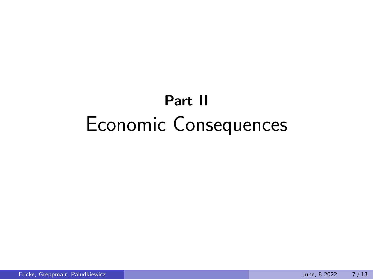# Part II Economic Consequences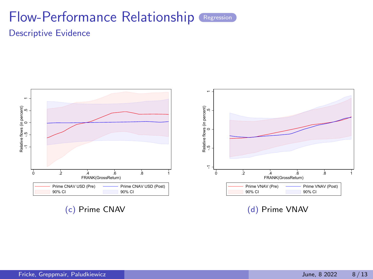#### Flow-Performance Relationship [Regression](#page-28-0) Descriptive Evidence

<span id="page-12-0"></span>

(d) Prime VNAV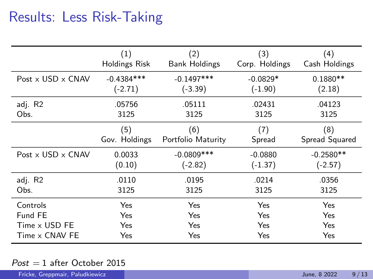# <span id="page-13-0"></span>Results: Less Risk-Taking

|                                 | (1)           | (2)                  | (3)            | (4)            |
|---------------------------------|---------------|----------------------|----------------|----------------|
|                                 | Holdings Risk | <b>Bank Holdings</b> | Corp. Holdings | Cash Holdings  |
| Post $\times$ USD $\times$ CNAV | $-0.4384***$  | $-0.1497***$         | $-0.0829*$     | $0.1880**$     |
|                                 | $(-2.71)$     | $(-3.39)$            | $(-1.90)$      | (2.18)         |
| adj. R2                         | .05756        | .05111               | .02431         | .04123         |
| Obs.                            | 3125          | 3125                 | 3125           | 3125           |
|                                 | (5)           | (6)                  | (7)            | (8)            |
|                                 | Gov. Holdings | Portfolio Maturity   | Spread         | Spread Squared |
| Post $\times$ USD $\times$ CNAV | 0.0033        | $-0.0809$ ***        | $-0.0880$      | $-0.2580**$    |
|                                 | (0.10)        | (-2.82)              | $(-1.37)$      | $(-2.57)$      |
| adj. R2                         | .0110         | .0195                | .0214          | .0356          |
| Obs.                            | 3125          | 3125                 | 3125           | 3125           |
| Controls                        | Yes           | Yes                  | Yes            | Yes            |
| Fund FE                         | Yes           | Yes                  | Yes            | Yes            |
| Time x USD FE                   | Yes           | Yes                  | Yes            | Yes            |
| Time x CNAV FE                  | Yes           | Yes                  | Yes            | Yes            |

#### $Post = 1$  after October 2015

| Fricke, Greppmair, Paludkiewicz |  | 9/13<br>June. 8 2022 |
|---------------------------------|--|----------------------|
|---------------------------------|--|----------------------|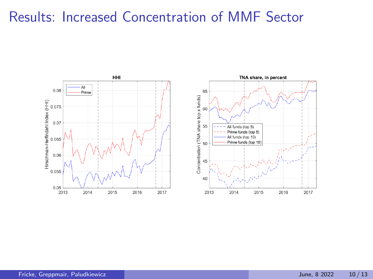# Results: Increased Concentration of MMF Sector

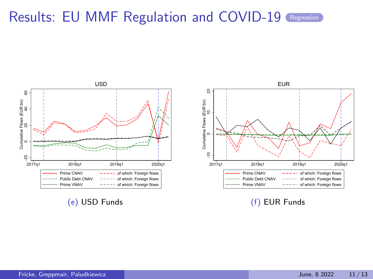# Results: EU MMF Regulation and COVID-19 [Regression](#page-29-0)

<span id="page-15-0"></span>

(f) EUR Funds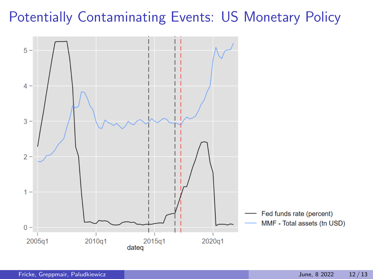# Potentially Contaminating Events: US Monetary Policy

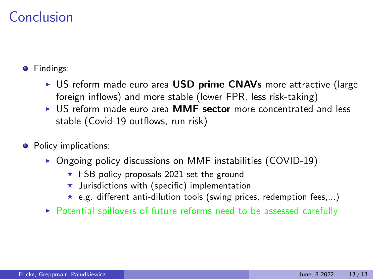### Conclusion

**•** Findings:

- $\triangleright$  US reform made euro area USD prime CNAVs more attractive (large foreign inflows) and more stable (lower FPR, less risk-taking)
- ▶ US reform made euro area MMF sector more concentrated and less stable (Covid-19 outflows, run risk)
- Policy implications:
	- $\triangleright$  Ongoing policy discussions on MMF instabilities (COVID-19)
		- $\star$  FSB policy proposals 2021 set the ground
		- $\star$  Jurisdictions with (specific) implementation
		- $\star$  e.g. different anti-dilution tools (swing prices, redemption fees,...)
	- ▶ Potential spillovers of future reforms need to be assessed carefully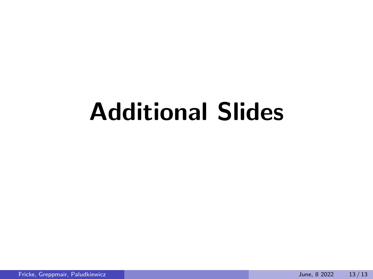# Additional Slides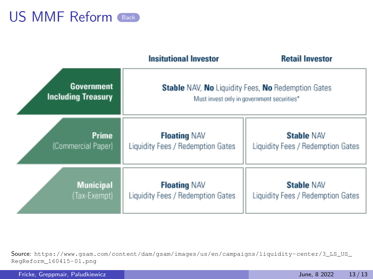<span id="page-19-0"></span>

|                                         | <b>Insitutional Investor</b>      | <b>Retail Investor</b>                                                                                  |
|-----------------------------------------|-----------------------------------|---------------------------------------------------------------------------------------------------------|
| Government<br><b>Including Treasury</b> |                                   | <b>Stable NAV, No Liquidity Fees, No Redemption Gates</b><br>Must invest only in government securities* |
| Prime                                   | <b>Floating NAV</b>               | <b>Stable NAV</b>                                                                                       |
| (Commercial Paper)                      | Liquidity Fees / Redemption Gates | Liquidity Fees / Redemption Gates                                                                       |
| <b>Municipal</b>                        | <b>Floating NAV</b>               | <b>Stable NAV</b>                                                                                       |
| (Tax-Exempt)                            | Liquidity Fees / Redemption Gates | Liquidity Fees / Redemption Gates                                                                       |

Source: [https://www.gsam.com/content/dam/gsam/images/us/en/campaigns/liquidity-center/3\\_LS\\_US\\_](https://www.gsam.com/content/dam/gsam/images/us/en/campaigns/liquidity-center/3_LS_US_RegReform_160415-01.png) [RegReform\\_160415-01.png](https://www.gsam.com/content/dam/gsam/images/us/en/campaigns/liquidity-center/3_LS_US_RegReform_160415-01.png)

Fricke, Greppmair, Paludkiewicz June, 8 2022 13 / 13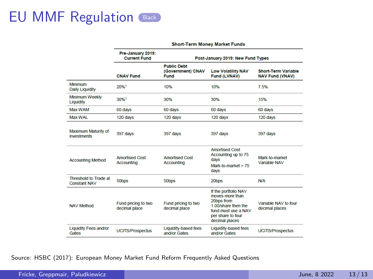|                                              | Pre-January 2019:<br><b>Current Fund</b>   |                                                 | Post-January 2019: New Fund Types                                                                                                          |                                                      |
|----------------------------------------------|--------------------------------------------|-------------------------------------------------|--------------------------------------------------------------------------------------------------------------------------------------------|------------------------------------------------------|
|                                              | <b>CNAV Fund</b>                           | <b>Public Debt</b><br>(Government) CNAV<br>Fund | <b>Low Volatility NAV</b><br><b>Fund (LVNAV)</b>                                                                                           | <b>Short-Term Variable</b><br><b>NAV Fund (VNAV)</b> |
| Minimum<br><b>Daily Liquidity</b>            | 20%1                                       | 10%                                             | 10%                                                                                                                                        | 7.5%                                                 |
| <b>Minimum Weekly</b><br>Liquidity           | 30%1                                       | 30%                                             | 30%                                                                                                                                        | 15%                                                  |
| Max WAM                                      | 60 days                                    | 60 days                                         | 60 days                                                                                                                                    | 60 days                                              |
| Max WAI                                      | 120 days                                   | 120 days                                        | 120 days                                                                                                                                   | 120 days                                             |
| Maximum Maturity of<br><i>investments</i>    | 397 days                                   | 397 days                                        | 397 days                                                                                                                                   | 397 days                                             |
| <b>Accounting Method</b>                     | <b>Amortised Cost</b><br><b>Accounting</b> | <b>Amortised Cost</b><br><b>Accounting</b>      | <b>Amortised Cost</b><br>Accounting up to 75<br>davs<br>Mark-to-market $> 75$<br>davs                                                      | Mark-to-market<br>Variable NAV                       |
| Threshold to Trade at<br><b>Constant NAV</b> | 50bps                                      | 50bps                                           | 20bps                                                                                                                                      | <b>N/A</b>                                           |
| <b>NAV Method</b>                            | Fund pricing to two<br>decimal place       | Fund pricing to two<br>decimal place            | If the portfolio NAV<br>moves more than<br>20bps from<br>1.00/share then the<br>fund must use a NAV<br>per share to four<br>decimal places | Variable NAV to four<br>decimal places               |
| <b>Liquidity Fees and/or</b><br>Gates        | <b>UCITS/Prospectus</b>                    | <b>Liquidity-based fees</b><br>and/or Gates     | <b>Liquidity-based fees</b><br>and/or Gates                                                                                                | <b>UCITS/Prospectus</b>                              |

#### Short-Term Money Market Funds

Source: HSBC (2017): European Money Market Fund Reform Frequently Asked Questions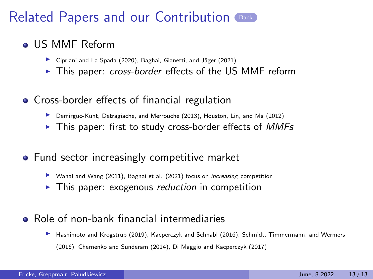#### <span id="page-21-0"></span>**o** US MMF Reform

- ▶ Cipriani and La Spada (2020), Baghai, Gianetti, and Jäger (2021)
- This paper: cross-border effects of the US MMF reform
- **Cross-border effects of financial regulation** 
	- $\blacktriangleright$  Demirguc-Kunt, Detragiache, and Merrouche (2013), Houston, Lin, and Ma (2012)
	- $\triangleright$  This paper: first to study cross-border effects of *MMFs*
- Fund sector increasingly competitive market
	- $\triangleright$  Wahal and Wang (2011), Baghai et al. (2021) focus on *increasing* competition
	- $\triangleright$  This paper: exogenous *reduction* in competition
- Role of non-bank financial intermediaries
	- **IN** Hashimoto and Krogstrup (2019), Kacperczyk and Schnabl (2016), Schmidt, Timmermann, and Wermers (2016), Chernenko and Sunderam (2014), Di Maggio and Kacperczyk (2017)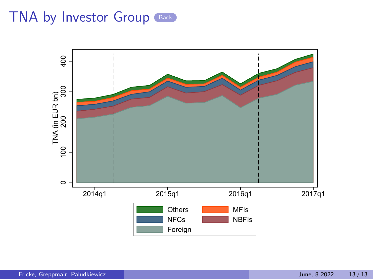<span id="page-22-0"></span>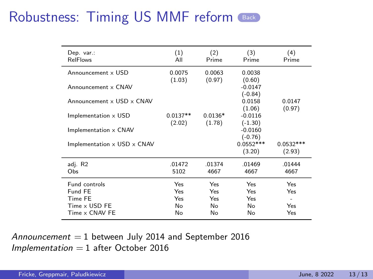<span id="page-23-0"></span>

| Dep. var.:<br><b>RelFlows</b>             | (1)<br>All           | (2)<br>Prime        | (3)<br>Prime           | (4)<br>Prime          |
|-------------------------------------------|----------------------|---------------------|------------------------|-----------------------|
| Announcement x USD                        | 0.0075<br>(1.03)     | 0.0063<br>(0.97)    | 0.0038<br>(0.60)       |                       |
| Announcement x CNAV                       |                      |                     | $-0.0147$<br>$(-0.84)$ |                       |
| Announcement x USD x CNAV                 |                      |                     | 0.0158<br>(1.06)       | 0.0147<br>(0.97)      |
| Implementation x USD                      | $0.0137**$<br>(2.02) | $0.0136*$<br>(1.78) | $-0.0116$<br>$(-1.30)$ |                       |
| Implementation x CNAV                     |                      |                     | $-0.0160$<br>$(-0.76)$ |                       |
| Implementation $\times$ USD $\times$ CNAV |                      |                     | $0.0552***$<br>(3.20)  | $0.0532***$<br>(2.93) |
| adj. R2<br>Obs                            | .01472<br>5102       | .01374<br>4667      | .01469<br>4667         | .01444<br>4667        |
| <b>Eund controls</b><br>Fund FE           | Yes<br>Yes           | Yes<br>Yes          | Yes<br>Yes             | Yes<br>Yes            |
| Time FE                                   | Yes                  | Yes                 | Yes                    | ۰                     |
| Time x USD FE<br>Time x CNAV FE           | No<br>No             | No<br>No            | No<br>No               | Yes<br>Yes            |

Announcement  $= 1$  between July 2014 and September 2016  $Implementation = 1$  after October 2016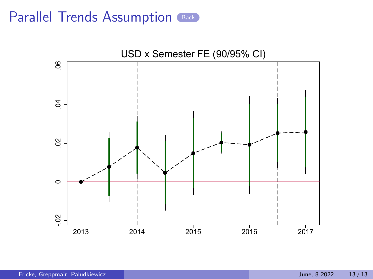<span id="page-24-0"></span>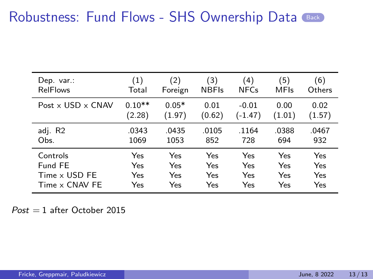#### Robustness: Fund Flows - SHS Ownership Data ([Back](#page-10-0))

<span id="page-25-0"></span>

| Dep. var.:                      | (1)      | (2)     | (3)          | (4)         | 5)          | (6)    |
|---------------------------------|----------|---------|--------------|-------------|-------------|--------|
| <b>RelFlows</b>                 | Total    | Foreign | <b>NBFIs</b> | <b>NFCs</b> | <b>MFIs</b> | Others |
| Post $\times$ USD $\times$ CNAV | $0.10**$ | $0.05*$ | 0.01         | $-0.01$     | 0.00        | 0.02   |
|                                 | (2.28)   | (1.97)  | (0.62)       | (-1.47)     | (1.01)      | (1.57) |
| adj. R2                         | .0343    | .0435   | .0105        | .1164       | .0388       | .0467  |
| Obs.                            | 1069     | 1053    | 852          | 728         | 694         | 932    |
| Controls                        | Yes      | Yes     | Yes          | Yes         | Yes         | Yes    |
| Fund FE                         | Yes      | Yes     | Yes          | Yes         | Yes         | Yes    |
| Time x USD FE                   | Yes      | Yes     | Yes          | Yes         | Yes         | Yes    |
| Time x CNAV FE                  | Yes      | Yes     | Yes          | Yes         | Yes         | Yes    |

 $Post = 1$  after October 2015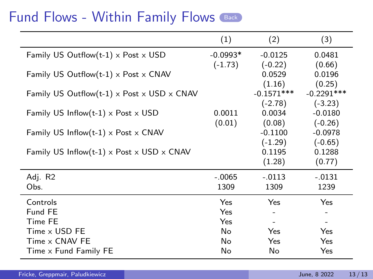#### Fund Flows - Within Family Flows ([Back](#page-10-0))

<span id="page-26-0"></span>

|                                                                 | (1)        | (2)                 | (3)                      |
|-----------------------------------------------------------------|------------|---------------------|--------------------------|
| Family US Outflow(t-1) $\times$ Post $\times$ USD               | $-0.0993*$ | $-0.0125$           | 0.0481                   |
|                                                                 | $(-1.73)$  | $(-0.22)$<br>0.0529 | (0.66)<br>0.0196         |
| Family US Outflow(t-1) $\times$ Post $\times$ CNAV              |            | (1.16)              | (0.25)                   |
| Family US Outflow(t-1) $\times$ Post $\times$ USD $\times$ CNAV |            | $-0.1571***$        | $-0.2291***$             |
|                                                                 |            | $(-2.78)$           | $(-3.23)$                |
| Family US Inflow(t-1) $\times$ Post $\times$ USD                | 0.0011     | 0.0034              | $-0.0180$                |
|                                                                 | (0.01)     | (0.08)              | $(-0.26)$                |
| Family US Inflow(t-1) $\times$ Post $\times$ CNAV               |            | $-0.1100$           | $-0.0978$                |
|                                                                 |            | $(-1.29)$           | $(-0.65)$                |
| Family US Inflow(t-1) $\times$ Post $\times$ USD $\times$ CNAV  |            | 0.1195              | 0.1288                   |
|                                                                 |            | (1.28)              | (0.77)                   |
| Adj. R2                                                         | $-.0065$   | $-.0113$            | $-.0131$                 |
| Obs.                                                            | 1309       | 1309                | 1239                     |
| Controls                                                        | Yes        | Yes                 | Yes                      |
| Fund FE                                                         | Yes        |                     |                          |
| Time FE                                                         | Yes        |                     | $\overline{\phantom{a}}$ |
| Time x USD FE                                                   | No         | <b>Yes</b>          | Yes                      |
| Time x CNAV FE                                                  | No         | Yes                 | Yes                      |
| Time x Fund Family FE                                           | No         | No                  | Yes                      |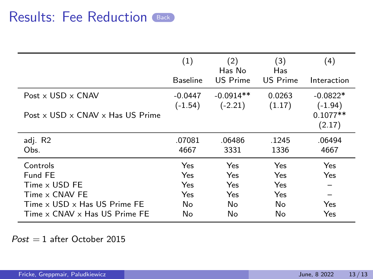|                                                                                                                         | (1)<br><b>Baseline</b>               | (2)<br>Has No<br>US Prime             | (3)<br>Has<br><b>US Prime</b>        | (4)<br>Interaction                              |
|-------------------------------------------------------------------------------------------------------------------------|--------------------------------------|---------------------------------------|--------------------------------------|-------------------------------------------------|
| Post $\times$ USD $\times$ CNAV<br>Post x USD x CNAV x Has US Prime                                                     | $-0.0447$<br>$(-1.54)$               | $-0.0914**$<br>$(-2.21)$              | 0.0263<br>(1.17)                     | $-0.0822*$<br>$(-1.94)$<br>$0.1077**$<br>(2.17) |
| adj. R2<br>Obs.                                                                                                         | .07081<br>4667                       | .06486<br>3331                        | .1245<br>1336                        | .06494<br>4667                                  |
| Controls<br>Fund FE<br>Time x USD FE<br>Time x CNAV FE<br>Time x USD x Has US Prime FE<br>Time x CNAV x Has US Prime FE | Yes<br>Yes<br>Yes<br>Yes<br>No<br>No | Yes<br>Yes<br>Yes<br>Yes<br>No.<br>No | Yes<br>Yes<br>Yes<br>Yes<br>No<br>No | Yes<br>Yes<br>Yes<br>Yes                        |

 $Post = 1$  after October 2015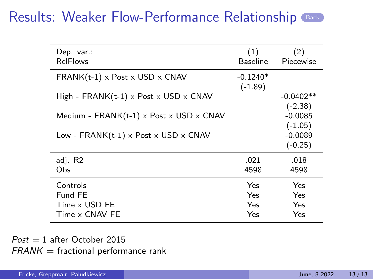<span id="page-28-0"></span>

| Dep. var.:<br><b>RelFlows</b>                            | (1)<br>Baseline         | (2)<br>Piecewise         |
|----------------------------------------------------------|-------------------------|--------------------------|
| $FRANK(t-1) \times Post \times USD \times CNAV$          | $-0.1240*$<br>$(-1.89)$ |                          |
| High - FRANK $(t-1)$ x Post x USD x CNAV                 |                         | $-0.0402**$<br>$(-2.38)$ |
| Medium - $FRANK(t-1) \times Post \times USD \times CNAV$ |                         | $-0.0085$<br>$(-1.05)$   |
| Low - $FRANK(t-1) \times Post \times USD \times CNAV$    |                         | $-0.0089$<br>$(-0.25)$   |
| adj. R2<br>Obs                                           | .021<br>4598            | .018<br>4598             |
| Controls                                                 | Yes                     | Yes                      |
| Fund FF<br>Time x USD FE<br>Time x CNAV FE               | Yes<br>Yes<br>Yes       | Yes<br>Yes<br>Yes        |

 $Post = 1$  after October 2015  $FRANK = fractional$  performance rank